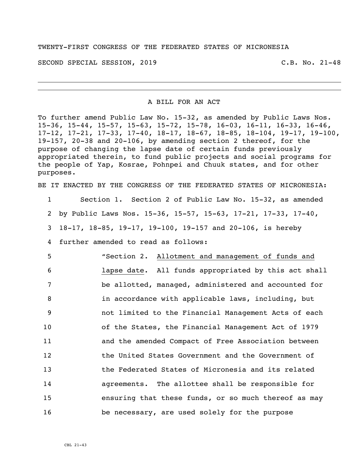TWENTY-FIRST CONGRESS OF THE FEDERATED STATES OF MICRONESIA

SECOND SPECIAL SESSION, 2019 C.B. No. 21-48

A BILL FOR AN ACT

To further amend Public Law No. 15-32, as amended by Public Laws Nos. 15-36, 15-44, 15-57, 15-63, 15-72, 15-78, 16-03, 16-11, 16-33, 16-46, 17-12, 17-21, 17-33, 17-40, 18-17, 18-67, 18-85, 18-104, 19-17, 19-100, 19-157, 20-38 and 20-106, by amending section 2 thereof, for the purpose of changing the lapse date of certain funds previously appropriated therein, to fund public projects and social programs for the people of Yap, Kosrae, Pohnpei and Chuuk states, and for other purposes.

BE IT ENACTED BY THE CONGRESS OF THE FEDERATED STATES OF MICRONESIA:

 Section 1. Section 2 of Public Law No. 15-32, as amended by Public Laws Nos. 15-36, 15-57, 15-63, 17-21, 17-33, 17-40, 18-17, 18-85, 19-17, 19-100, 19-157 and 20-106, is hereby further amended to read as follows:

 "Section 2. Allotment and management of funds and lapse date. All funds appropriated by this act shall be allotted, managed, administered and accounted for in accordance with applicable laws, including, but not limited to the Financial Management Acts of each of the States, the Financial Management Act of 1979 and the amended Compact of Free Association between the United States Government and the Government of the Federated States of Micronesia and its related agreements. The allottee shall be responsible for ensuring that these funds, or so much thereof as may be necessary, are used solely for the purpose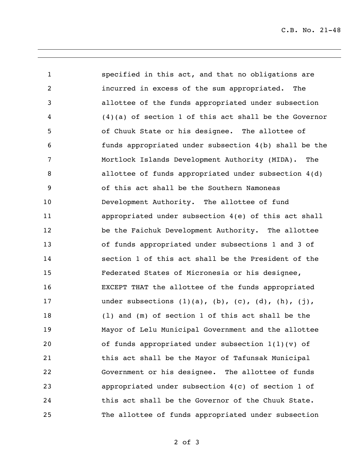C.B. No. 21-48

 specified in this act, and that no obligations are incurred in excess of the sum appropriated. The allottee of the funds appropriated under subsection (4)(a) of section 1 of this act shall be the Governor of Chuuk State or his designee. The allottee of funds appropriated under subsection 4(b) shall be the Mortlock Islands Development Authority (MIDA). The allottee of funds appropriated under subsection 4(d) of this act shall be the Southern Namoneas Development Authority. The allottee of fund appropriated under subsection 4(e) of this act shall be the Faichuk Development Authority. The allottee of funds appropriated under subsections 1 and 3 of section 1 of this act shall be the President of the Federated States of Micronesia or his designee, EXCEPT THAT the allottee of the funds appropriated 17 under subsections (1)(a), (b), (c), (d), (h), (j), (l) and (m) of section 1 of this act shall be the Mayor of Lelu Municipal Government and the allottee of funds appropriated under subsection 1(1)(v) of this act shall be the Mayor of Tafunsak Municipal Government or his designee. The allottee of funds appropriated under subsection 4(c) of section 1 of this act shall be the Governor of the Chuuk State. The allottee of funds appropriated under subsection